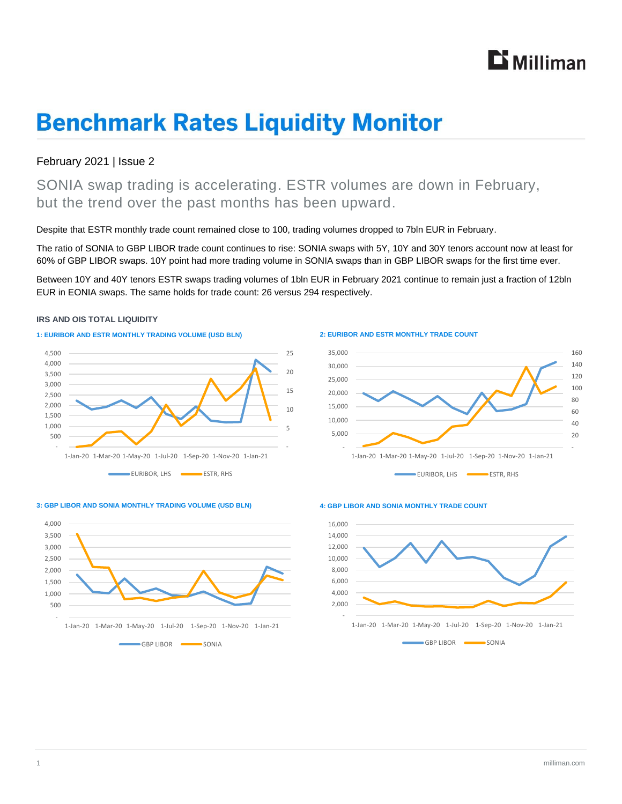# **Li** Milliman

# **Benchmark Rates Liquidity Monitor**

### February 2021 | Issue 2

SONIA swap trading is accelerating. ESTR volumes are down in February, but the trend over the past months has been upward.

Despite that ESTR monthly trade count remained close to 100, trading volumes dropped to 7bln EUR in February.

The ratio of SONIA to GBP LIBOR trade count continues to rise: SONIA swaps with 5Y, 10Y and 30Y tenors account now at least for 60% of GBP LIBOR swaps. 10Y point had more trading volume in SONIA swaps than in GBP LIBOR swaps for the first time ever.

Between 10Y and 40Y tenors ESTR swaps trading volumes of 1bln EUR in February 2021 continue to remain just a fraction of 12bln EUR in EONIA swaps. The same holds for trade count: 26 versus 294 respectively.

#### **IRS AND OIS TOTAL LIQUIDITY**





#### **2: EURIBOR AND ESTR MONTHLY TRADE COUNT**



#### **3: GBP LIBOR AND SONIA MONTHLY TRADING VOLUME (USD BLN)**



#### **4: GBP LIBOR AND SONIA MONTHLY TRADE COUNT**

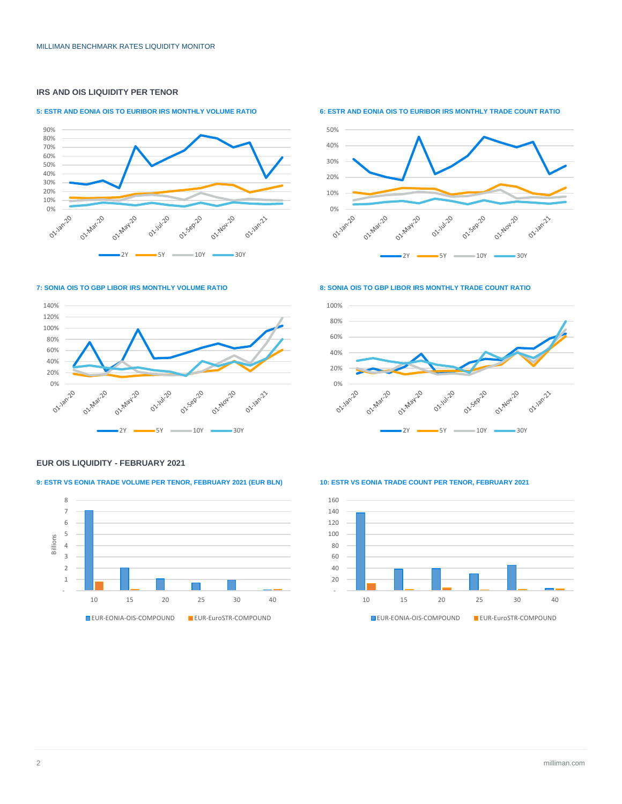### **IRS AND OIS LIQUIDITY PER TENOR**

#### **5: ESTR AND EONIA OIS TO EURIBOR IRS MONTHLY VOLUME RATIO**



**6: ESTR AND EONIA OIS TO EURIBOR IRS MONTHLY TRADE COUNT RATIO**



#### **7: SONIA OIS TO GBP LIBOR IRS MONTHLY VOLUME RATIO**



### 100%

**8: SONIA OIS TO GBP LIBOR IRS MONTHLY TRADE COUNT RATIO**



#### **EUR OIS LIQUIDITY - FEBRUARY 2021**

#### **9: ESTR VS EONIA TRADE VOLUME PER TENOR, FEBRUARY 2021 (EUR BLN) 10: ESTR VS EONIA TRADE COUNT PER TENOR, FEBRUARY 2021**